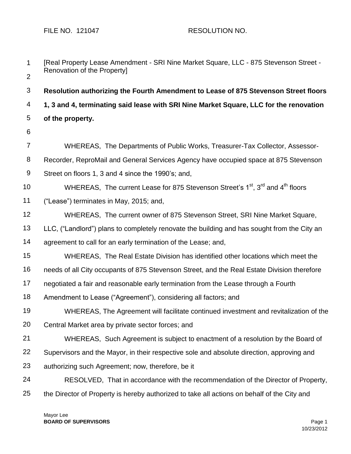| $\mathbf{1}$     | [Real Property Lease Amendment - SRI Nine Market Square, LLC - 875 Stevenson Street -                              |
|------------------|--------------------------------------------------------------------------------------------------------------------|
| $\overline{2}$   | Renovation of the Property]                                                                                        |
| $\mathfrak{B}$   | Resolution authorizing the Fourth Amendment to Lease of 875 Stevenson Street floors                                |
| 4                | 1, 3 and 4, terminating said lease with SRI Nine Market Square, LLC for the renovation                             |
| 5                | of the property.                                                                                                   |
| 6                |                                                                                                                    |
| $\overline{7}$   | WHEREAS, The Departments of Public Works, Treasurer-Tax Collector, Assessor-                                       |
| 8                | Recorder, ReproMail and General Services Agency have occupied space at 875 Stevenson                               |
| $\boldsymbol{9}$ | Street on floors 1, 3 and 4 since the 1990's; and,                                                                 |
| 10               | WHEREAS, The current Lease for 875 Stevenson Street's 1 <sup>st</sup> , 3 <sup>rd</sup> and 4 <sup>th</sup> floors |
| 11               | ("Lease") terminates in May, 2015; and,                                                                            |
| 12               | WHEREAS, The current owner of 875 Stevenson Street, SRI Nine Market Square,                                        |
| 13               | LLC, ("Landlord") plans to completely renovate the building and has sought from the City an                        |
| 14               | agreement to call for an early termination of the Lease; and,                                                      |
| 15               | WHEREAS, The Real Estate Division has identified other locations which meet the                                    |
| 16               | needs of all City occupants of 875 Stevenson Street, and the Real Estate Division therefore                        |
| 17               | negotiated a fair and reasonable early termination from the Lease through a Fourth                                 |
| 18               | Amendment to Lease ("Agreement"), considering all factors; and                                                     |
| 19               | WHEREAS, The Agreement will facilitate continued investment and revitalization of the                              |
| 20               | Central Market area by private sector forces; and                                                                  |
| 21               | WHEREAS, Such Agreement is subject to enactment of a resolution by the Board of                                    |
| 22               | Supervisors and the Mayor, in their respective sole and absolute direction, approving and                          |
| 23               | authorizing such Agreement; now, therefore, be it                                                                  |
| 24               | RESOLVED, That in accordance with the recommendation of the Director of Property,                                  |
| 25               | the Director of Property is hereby authorized to take all actions on behalf of the City and                        |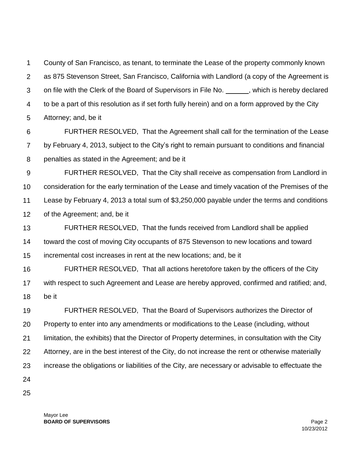1 2 3 4 5 County of San Francisco, as tenant, to terminate the Lease of the property commonly known as 875 Stevenson Street, San Francisco, California with Landlord (a copy of the Agreement is on file with the Clerk of the Board of Supervisors in File No. \_\_\_\_\_\_, which is hereby declared to be a part of this resolution as if set forth fully herein) and on a form approved by the City Attorney; and, be it

6 7 8 FURTHER RESOLVED, That the Agreement shall call for the termination of the Lease by February 4, 2013, subject to the City's right to remain pursuant to conditions and financial penalties as stated in the Agreement; and be it

9 10 11 12 FURTHER RESOLVED, That the City shall receive as compensation from Landlord in consideration for the early termination of the Lease and timely vacation of the Premises of the Lease by February 4, 2013 a total sum of \$3,250,000 payable under the terms and conditions of the Agreement; and, be it

13 14 15 FURTHER RESOLVED, That the funds received from Landlord shall be applied toward the cost of moving City occupants of 875 Stevenson to new locations and toward incremental cost increases in rent at the new locations; and, be it

16 17 18 FURTHER RESOLVED, That all actions heretofore taken by the officers of the City with respect to such Agreement and Lease are hereby approved, confirmed and ratified; and, be it

19 20 21 22 23 24 FURTHER RESOLVED, That the Board of Supervisors authorizes the Director of Property to enter into any amendments or modifications to the Lease (including, without limitation, the exhibits) that the Director of Property determines, in consultation with the City Attorney, are in the best interest of the City, do not increase the rent or otherwise materially increase the obligations or liabilities of the City, are necessary or advisable to effectuate the

25